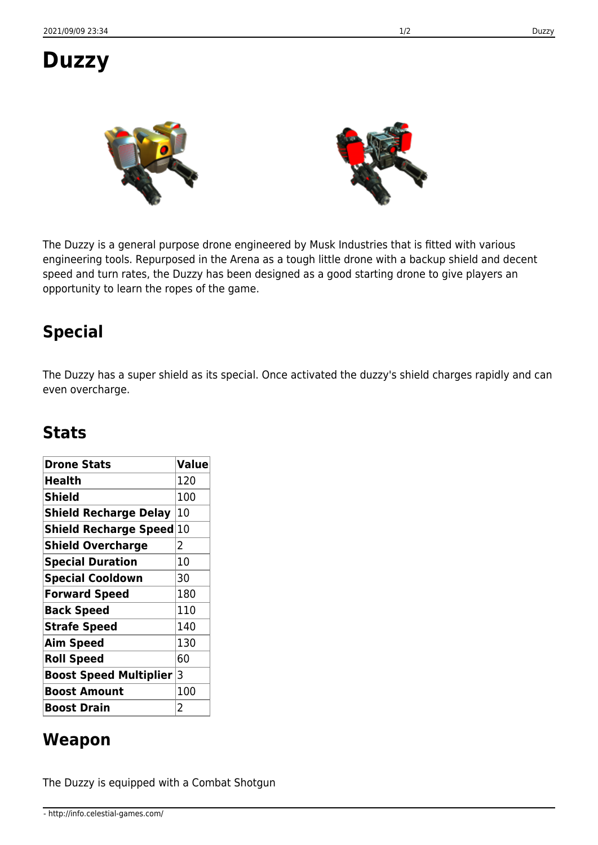# **Duzzy**

The Duzzy is a general purpose drone engineered by Musk Industries that is fitted with various engineering tools. Repurposed in the Arena as a tough little drone with a backup shield and decent speed and turn rates, the Duzzy has been designed as a good starting drone to give players an opportunity to learn the ropes of the game.

### **Special**

The Duzzy has a super shield as its special. Once activated the duzzy's shield charges rapidly and can even overcharge.

#### **Stats**

| <b>Drone Stats</b>              | <b>Value</b>   |
|---------------------------------|----------------|
| Health                          | 120            |
| <b>Shield</b>                   | 100            |
| <b>Shield Recharge Delay</b>    | 10             |
| <b>Shield Recharge Speed 10</b> |                |
| <b>Shield Overcharge</b>        | 2              |
| <b>Special Duration</b>         | 10             |
| <b>Special Cooldown</b>         | 30             |
| <b>Forward Speed</b>            | 180            |
| <b>Back Speed</b>               | 110            |
| <b>Strafe Speed</b>             | 140            |
| <b>Aim Speed</b>                | 130            |
| <b>Roll Speed</b>               | 60             |
| <b>Boost Speed Multiplier</b>   | 3              |
| <b>Boost Amount</b>             | 100            |
| <b>Boost Drain</b>              | $\overline{2}$ |

#### **Weapon**

The Duzzy is equipped with a Combat Shotgun